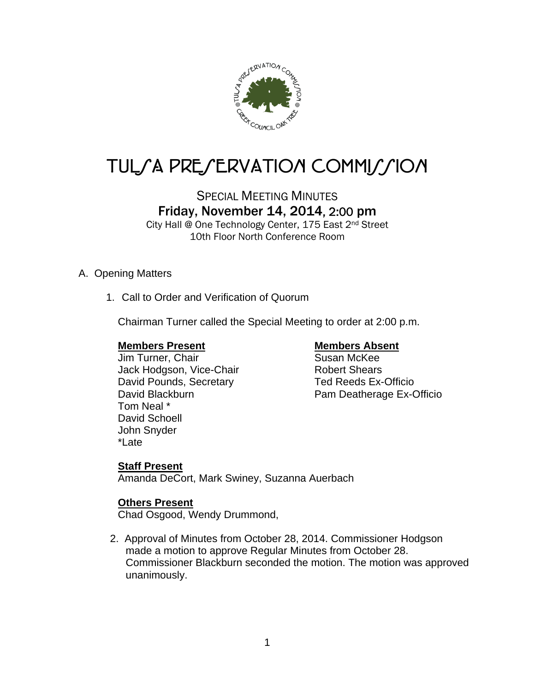

# TUL*SA PRESERVATION COMMISSION*

# SPECIAL MEETING MINUTES Friday, November 14, 2014, 2:00 pm

City Hall @ One Technology Center, 175 East 2nd Street 10th Floor North Conference Room

# A. Opening Matters

1. Call to Order and Verification of Quorum

Chairman Turner called the Special Meeting to order at 2:00 p.m.

#### **Members Present Members Absent**

Jim Turner, Chair Susan McKee Jack Hodgson, Vice-Chair **Robert Shears** David Pounds, Secretary Ted Reeds Ex-Officio Tom Neal \* David Schoell John Snyder \*Late

David Blackburn **Pam Deatherage Ex-Officio** 

# **Staff Present**

Amanda DeCort, Mark Swiney, Suzanna Auerbach

# **Others Present**

Chad Osgood, Wendy Drummond,

2. Approval of Minutes from October 28, 2014. Commissioner Hodgson made a motion to approve Regular Minutes from October 28. Commissioner Blackburn seconded the motion. The motion was approved unanimously.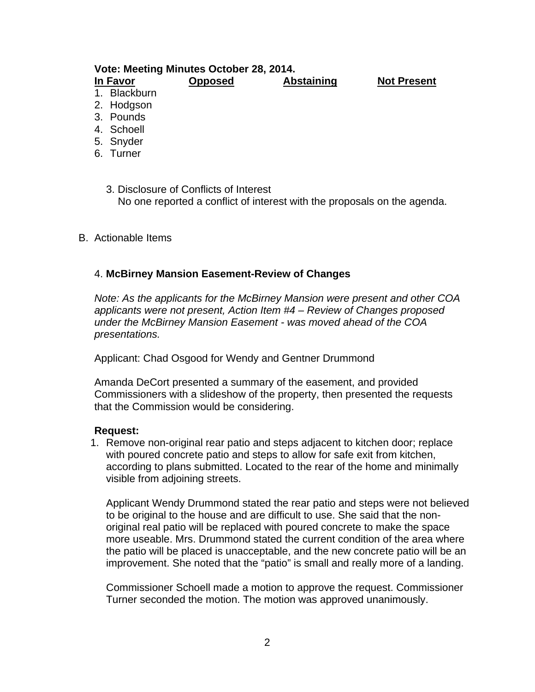### **Vote: Meeting Minutes October 28, 2014. In Favor Opposed Abstaining Not Present**

- 1. Blackburn
- 2. Hodgson
- 3. Pounds
- 4. Schoell
- 5. Snyder
- 6. Turner
	- 3. Disclosure of Conflicts of Interest No one reported a conflict of interest with the proposals on the agenda.

#### B. Actionable Items

#### 4. **McBirney Mansion Easement-Review of Changes**

*Note: As the applicants for the McBirney Mansion were present and other COA applicants were not present, Action Item #4 – Review of Changes proposed under the McBirney Mansion Easement - was moved ahead of the COA presentations.* 

Applicant: Chad Osgood for Wendy and Gentner Drummond

Amanda DeCort presented a summary of the easement, and provided Commissioners with a slideshow of the property, then presented the requests that the Commission would be considering.

#### **Request:**

1. Remove non-original rear patio and steps adjacent to kitchen door; replace with poured concrete patio and steps to allow for safe exit from kitchen, according to plans submitted. Located to the rear of the home and minimally visible from adjoining streets.

Applicant Wendy Drummond stated the rear patio and steps were not believed to be original to the house and are difficult to use. She said that the nonoriginal real patio will be replaced with poured concrete to make the space more useable. Mrs. Drummond stated the current condition of the area where the patio will be placed is unacceptable, and the new concrete patio will be an improvement. She noted that the "patio" is small and really more of a landing.

Commissioner Schoell made a motion to approve the request. Commissioner Turner seconded the motion. The motion was approved unanimously.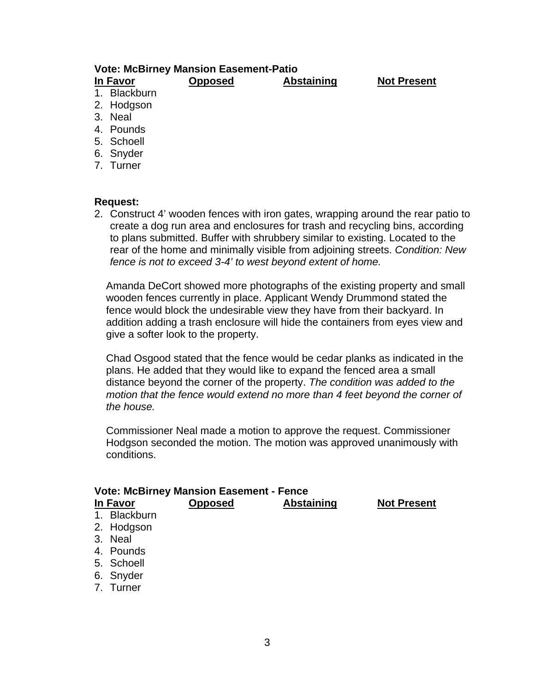#### **Vote: McBirney Mansion Easement-Patio In Favor Opposed Abstaining Not Present**

- 1. Blackburn 2. Hodgson
- 3. Neal
- 
- 4. Pounds
- 5. Schoell
- 6. Snyder 7. Turner
- 

### **Request:**

2. Construct 4' wooden fences with iron gates, wrapping around the rear patio to create a dog run area and enclosures for trash and recycling bins, according to plans submitted. Buffer with shrubbery similar to existing. Located to the rear of the home and minimally visible from adjoining streets. *Condition: New fence is not to exceed 3-4' to west beyond extent of home.* 

Amanda DeCort showed more photographs of the existing property and small wooden fences currently in place. Applicant Wendy Drummond stated the fence would block the undesirable view they have from their backyard. In addition adding a trash enclosure will hide the containers from eyes view and give a softer look to the property.

Chad Osgood stated that the fence would be cedar planks as indicated in the plans. He added that they would like to expand the fenced area a small distance beyond the corner of the property. *The condition was added to the motion that the fence would extend no more than 4 feet beyond the corner of the house.* 

Commissioner Neal made a motion to approve the request. Commissioner Hodgson seconded the motion. The motion was approved unanimously with conditions.

| <b>Vote: McBirney Mansion Easement - Fence</b> |                      |                |                   |                    |  |
|------------------------------------------------|----------------------|----------------|-------------------|--------------------|--|
|                                                | <b>In Favor</b>      | <b>Opposed</b> | <b>Abstaining</b> | <b>Not Present</b> |  |
|                                                | 1. Blackburn         |                |                   |                    |  |
|                                                | 2. Hodgson           |                |                   |                    |  |
|                                                | 3. Neal              |                |                   |                    |  |
|                                                | 4. Pounds            |                |                   |                    |  |
|                                                | 5. Schoell           |                |                   |                    |  |
|                                                | $\sim$ $\sim$ $\sim$ |                |                   |                    |  |

- 6. Snyder
- 7. Turner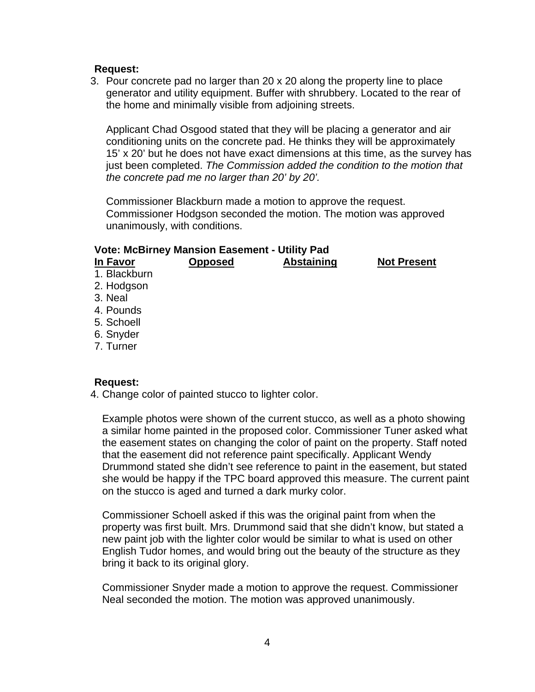#### **Request:**

3. Pour concrete pad no larger than 20 x 20 along the property line to place generator and utility equipment. Buffer with shrubbery. Located to the rear of the home and minimally visible from adjoining streets.

Applicant Chad Osgood stated that they will be placing a generator and air conditioning units on the concrete pad. He thinks they will be approximately 15' x 20' but he does not have exact dimensions at this time, as the survey has just been completed. *The Commission added the condition to the motion that the concrete pad me no larger than 20' by 20'.*

Commissioner Blackburn made a motion to approve the request. Commissioner Hodgson seconded the motion. The motion was approved unanimously, with conditions.

#### **Vote: McBirney Mansion Easement - Utility Pad**

| In Favor     | <b>Opposed</b> | <b>Abstaining</b> | <b>Not Present</b> |
|--------------|----------------|-------------------|--------------------|
| 1. Blackburn |                |                   |                    |
| 2. Hodgson   |                |                   |                    |
| 3. Neal      |                |                   |                    |
| 4. Pounds    |                |                   |                    |
| 5. Schoell   |                |                   |                    |
| 6. Snyder    |                |                   |                    |
| ___          |                |                   |                    |

7. Turner

#### **Request:**

4. Change color of painted stucco to lighter color.

Example photos were shown of the current stucco, as well as a photo showing a similar home painted in the proposed color. Commissioner Tuner asked what the easement states on changing the color of paint on the property. Staff noted that the easement did not reference paint specifically. Applicant Wendy Drummond stated she didn't see reference to paint in the easement, but stated she would be happy if the TPC board approved this measure. The current paint on the stucco is aged and turned a dark murky color.

Commissioner Schoell asked if this was the original paint from when the property was first built. Mrs. Drummond said that she didn't know, but stated a new paint job with the lighter color would be similar to what is used on other English Tudor homes, and would bring out the beauty of the structure as they bring it back to its original glory.

Commissioner Snyder made a motion to approve the request. Commissioner Neal seconded the motion. The motion was approved unanimously.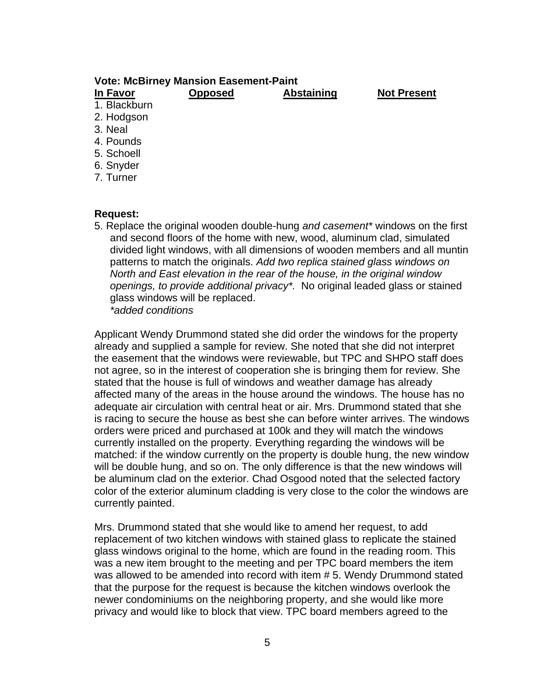#### **Vote: McBirney Mansion Easement-Paint**

| In Favor     | <b>Opposed</b> | <b>Abstaining</b> | <b>Not Present</b> |
|--------------|----------------|-------------------|--------------------|
| 1. Blackburn |                |                   |                    |
| 2. Hodgson   |                |                   |                    |
| 3. Neal      |                |                   |                    |
| 4. Pounds    |                |                   |                    |
| - - - -      |                |                   |                    |

- 5. Schoell
- 6. Snyder
- 7. Turner

#### **Request:**

5. Replace the original wooden double-hung *and casement\** windows on the first and second floors of the home with new, wood, aluminum clad, simulated divided light windows, with all dimensions of wooden members and all muntin patterns to match the originals. *Add two replica stained glass windows on North and East elevation in the rear of the house, in the original window openings, to provide additional privacy\*.* No original leaded glass or stained glass windows will be replaced. *\*added conditions* 

Applicant Wendy Drummond stated she did order the windows for the property already and supplied a sample for review. She noted that she did not interpret the easement that the windows were reviewable, but TPC and SHPO staff does not agree, so in the interest of cooperation she is bringing them for review. She stated that the house is full of windows and weather damage has already affected many of the areas in the house around the windows. The house has no adequate air circulation with central heat or air. Mrs. Drummond stated that she is racing to secure the house as best she can before winter arrives. The windows orders were priced and purchased at 100k and they will match the windows currently installed on the property. Everything regarding the windows will be matched: if the window currently on the property is double hung, the new window will be double hung, and so on. The only difference is that the new windows will be aluminum clad on the exterior. Chad Osgood noted that the selected factory color of the exterior aluminum cladding is very close to the color the windows are currently painted.

Mrs. Drummond stated that she would like to amend her request, to add replacement of two kitchen windows with stained glass to replicate the stained glass windows original to the home, which are found in the reading room. This was a new item brought to the meeting and per TPC board members the item was allowed to be amended into record with item # 5. Wendy Drummond stated that the purpose for the request is because the kitchen windows overlook the newer condominiums on the neighboring property, and she would like more privacy and would like to block that view. TPC board members agreed to the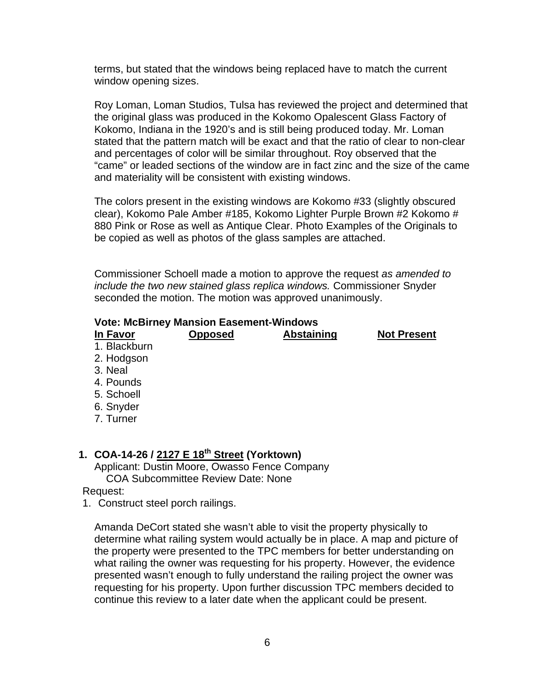terms, but stated that the windows being replaced have to match the current window opening sizes.

Roy Loman, Loman Studios, Tulsa has reviewed the project and determined that the original glass was produced in the Kokomo Opalescent Glass Factory of Kokomo, Indiana in the 1920's and is still being produced today. Mr. Loman stated that the pattern match will be exact and that the ratio of clear to non-clear and percentages of color will be similar throughout. Roy observed that the "came" or leaded sections of the window are in fact zinc and the size of the came and materiality will be consistent with existing windows.

The colors present in the existing windows are Kokomo #33 (slightly obscured clear), Kokomo Pale Amber #185, Kokomo Lighter Purple Brown #2 Kokomo # 880 Pink or Rose as well as Antique Clear. Photo Examples of the Originals to be copied as well as photos of the glass samples are attached.

Commissioner Schoell made a motion to approve the request *as amended to include the two new stained glass replica windows.* Commissioner Snyder seconded the motion. The motion was approved unanimously.

#### **Vote: McBirney Mansion Easement-Windows**

| In Favor     | <b>Opposed</b> | <b>Abstaining</b> | <b>Not Present</b> |
|--------------|----------------|-------------------|--------------------|
| 1. Blackburn |                |                   |                    |
| 2. Hodgson   |                |                   |                    |
| 3. Neal      |                |                   |                    |
| 4. Pounds    |                |                   |                    |
| 5. Schoell   |                |                   |                    |
| 6. Snyder    |                |                   |                    |
| 7. Turner    |                |                   |                    |
|              |                |                   |                    |
|              |                |                   |                    |

# **1. COA-14-26 / 2127 E 18th Street (Yorktown)**

Applicant: Dustin Moore, Owasso Fence Company COA Subcommittee Review Date: None

Request:

1. Construct steel porch railings.

Amanda DeCort stated she wasn't able to visit the property physically to determine what railing system would actually be in place. A map and picture of the property were presented to the TPC members for better understanding on what railing the owner was requesting for his property. However, the evidence presented wasn't enough to fully understand the railing project the owner was requesting for his property. Upon further discussion TPC members decided to continue this review to a later date when the applicant could be present.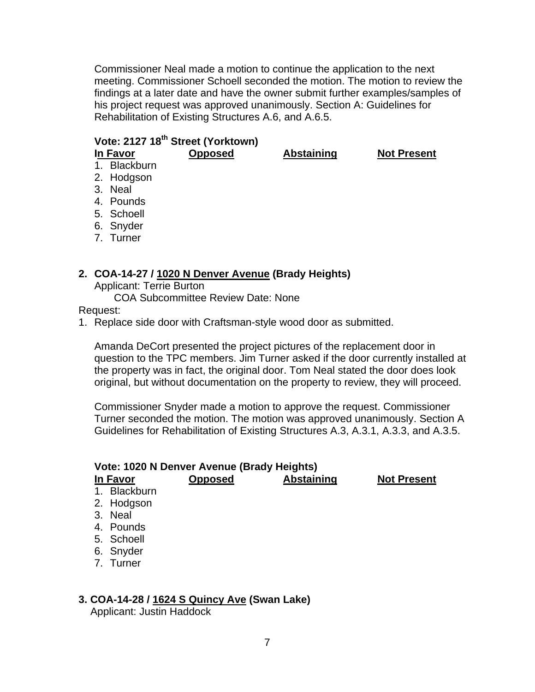Commissioner Neal made a motion to continue the application to the next meeting. Commissioner Schoell seconded the motion. The motion to review the findings at a later date and have the owner submit further examples/samples of his project request was approved unanimously. Section A: Guidelines for Rehabilitation of Existing Structures A.6, and A.6.5.

# **Vote: 2127 18th Street (Yorktown)**

**In Favor Opposed Abstaining Not Present** 

- 1. Blackburn 2. Hodgson
- 3. Neal
- 4. Pounds
- 5. Schoell
- 6. Snyder
- 7. Turner

### **2. COA-14-27 / 1020 N Denver Avenue (Brady Heights)**

Applicant: Terrie Burton

COA Subcommittee Review Date: None

Request:

1. Replace side door with Craftsman-style wood door as submitted.

Amanda DeCort presented the project pictures of the replacement door in question to the TPC members. Jim Turner asked if the door currently installed at the property was in fact, the original door. Tom Neal stated the door does look original, but without documentation on the property to review, they will proceed.

Commissioner Snyder made a motion to approve the request. Commissioner Turner seconded the motion. The motion was approved unanimously. Section A Guidelines for Rehabilitation of Existing Structures A.3, A.3.1, A.3.3, and A.3.5.

| Vote: 1020 N Denver Avenue (Brady Heights)<br><b>Abstaining</b><br><b>Opposed</b><br><b>Not Present</b><br>In Favor |              |  |  |  |
|---------------------------------------------------------------------------------------------------------------------|--------------|--|--|--|
|                                                                                                                     | 1. Blackburn |  |  |  |
|                                                                                                                     | 2. Hodgson   |  |  |  |
|                                                                                                                     | 3. Neal      |  |  |  |
|                                                                                                                     | 4. Pounds    |  |  |  |
|                                                                                                                     | 5. Schoell   |  |  |  |
|                                                                                                                     | 6. Snyder    |  |  |  |
|                                                                                                                     | 7. Turner    |  |  |  |
|                                                                                                                     |              |  |  |  |

#### **3. COA-14-28 / 1624 S Quincy Ave (Swan Lake)**

Applicant: Justin Haddock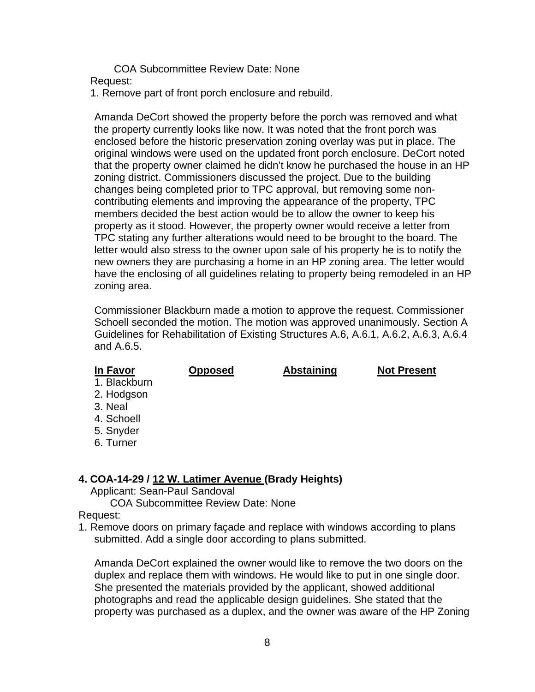COA Subcommittee Review Date: None Request:

1. Remove part of front porch enclosure and rebuild.

Amanda DeCort showed the property before the porch was removed and what the property currently looks like now. It was noted that the front porch was enclosed before the historic preservation zoning overlay was put in place. The original windows were used on the updated front porch enclosure. DeCort noted that the property owner claimed he didn't know he purchased the house in an HP zoning district. Commissioners discussed the project. Due to the building changes being completed prior to TPC approval, but removing some noncontributing elements and improving the appearance of the property, TPC members decided the best action would be to allow the owner to keep his property as it stood. However, the property owner would receive a letter from TPC stating any further alterations would need to be brought to the board. The letter would also stress to the owner upon sale of his property he is to notify the new owners they are purchasing a home in an HP zoning area. The letter would have the enclosing of all guidelines relating to property being remodeled in an HP zoning area.

Commissioner Blackburn made a motion to approve the request. Commissioner Schoell seconded the motion. The motion was approved unanimously. Section A Guidelines for Rehabilitation of Existing Structures A.6, A.6.1, A.6.2, A.6.3, A.6.4 and A.6.5.

#### **In Favor Opposed Abstaining Not Present**

1. Blackburn

- 2. Hodgson
- 3. Neal
- 4. Schoell
- 5. Snyder
- 6. Turner

# **4. COA-14-29 / 12 W. Latimer Avenue (Brady Heights)**

Applicant: Sean-Paul Sandoval

COA Subcommittee Review Date: None

#### Request:

1. Remove doors on primary façade and replace with windows according to plans submitted. Add a single door according to plans submitted.

Amanda DeCort explained the owner would like to remove the two doors on the duplex and replace them with windows. He would like to put in one single door. She presented the materials provided by the applicant, showed additional photographs and read the applicable design guidelines. She stated that the property was purchased as a duplex, and the owner was aware of the HP Zoning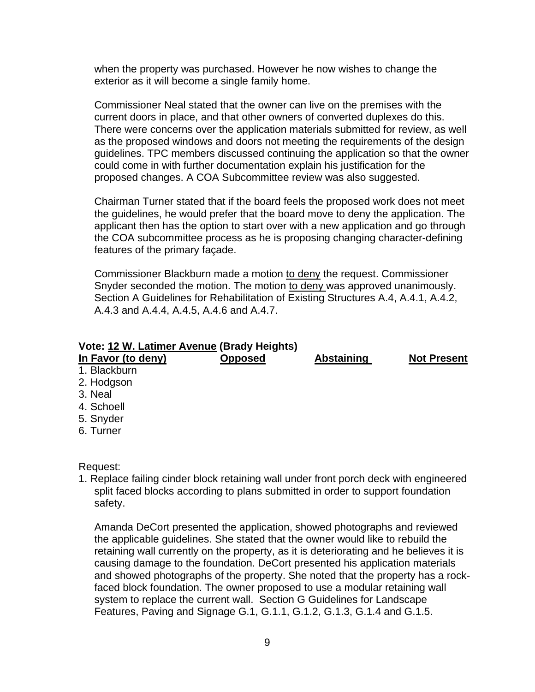when the property was purchased. However he now wishes to change the exterior as it will become a single family home.

Commissioner Neal stated that the owner can live on the premises with the current doors in place, and that other owners of converted duplexes do this. There were concerns over the application materials submitted for review, as well as the proposed windows and doors not meeting the requirements of the design guidelines. TPC members discussed continuing the application so that the owner could come in with further documentation explain his justification for the proposed changes. A COA Subcommittee review was also suggested.

Chairman Turner stated that if the board feels the proposed work does not meet the guidelines, he would prefer that the board move to deny the application. The applicant then has the option to start over with a new application and go through the COA subcommittee process as he is proposing changing character-defining features of the primary façade.

Commissioner Blackburn made a motion to deny the request. Commissioner Snyder seconded the motion. The motion to deny was approved unanimously. Section A Guidelines for Rehabilitation of Existing Structures A.4, A.4.1, A.4.2, A.4.3 and A.4.4, A.4.5, A.4.6 and A.4.7.

#### **Vote: 12 W. Latimer Avenue (Brady Heights)**

| In Favor (to deny) | <b>Opposed</b> | <b>Abstaining</b> | <b>Not Present</b> |
|--------------------|----------------|-------------------|--------------------|
| 1. Blackburn       |                |                   |                    |
| 2. Hodgson         |                |                   |                    |
| 3. Neal            |                |                   |                    |
| 4. Schoell         |                |                   |                    |
| 5. Snyder          |                |                   |                    |
| 6. Turner          |                |                   |                    |

Request:

1. Replace failing cinder block retaining wall under front porch deck with engineered split faced blocks according to plans submitted in order to support foundation safety.

Amanda DeCort presented the application, showed photographs and reviewed the applicable guidelines. She stated that the owner would like to rebuild the retaining wall currently on the property, as it is deteriorating and he believes it is causing damage to the foundation. DeCort presented his application materials and showed photographs of the property. She noted that the property has a rockfaced block foundation. The owner proposed to use a modular retaining wall system to replace the current wall. Section G Guidelines for Landscape Features, Paving and Signage G.1, G.1.1, G.1.2, G.1.3, G.1.4 and G.1.5.